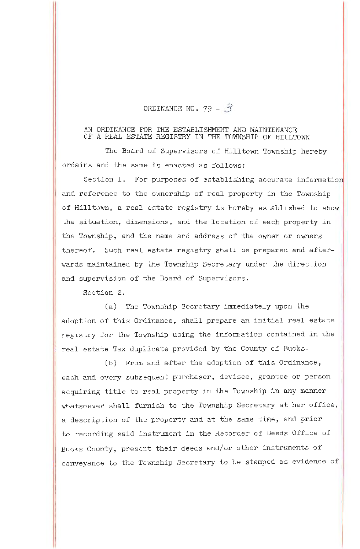## ORDINANCE NO. 79 -  $\hat{3}$

## AN ORDINANCE FOR THE ESTABLISHMENT AND MAINTENANCE OF A REAL ESTATE REGISTRY IN THE TOWNSHIP OF HILLTOWN

The Board of Supervisors of Hilltown Township hereby ordains and the same is enacted as follows:

Section 1. For purposes of establishing accurate information and reference to the ownership of real property in the Township of Hilltown, a real estate registry is hereby established to show the situation, dimensions, and the location of each property in the Township, and the name and address of the owner or owners thereof. Such real estate registry shall be prepared and afterwards maintained by the Township Secretary under the direction and supervision of the Board of Supervisors.

Section 2.

(a) The Township Secretary immediately upon the adoption of this Ordinance, shall prepare an initial real estate registry for the Township using the infonnation contained in the real estate Tax duplicate provided by the County of Bucks.

(b) From and after the adoption of this Ordinance, each and every subsequent purchaser, devisee, grantee or person acquiring title to real property in the Township in any manner whatsoever shall furnish to the Township Secretary at her office, a description of the property and at the same time, and prior to recording said instrument in the Recorder of Deeds Office of Bucks County, present their deeds and/or other instruments of conveyance to the Township Secretary to be stamped as evidence of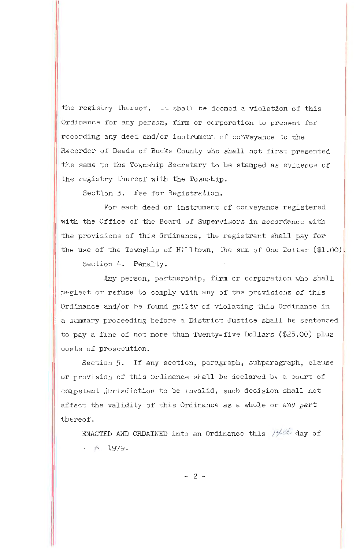the registry thereof. It shall be deemed a violation of this Ordinance for any person, firm or corporation to present for recording any deed and/or instrument of conveyance to the Recorder of Deeds of Bucks County who shall not first presented the same to the Township Secretary to be stamped as evidence of the registry thereof with the Township.

Section 3. Fee for Registration.

For each deed or instrument of conveyance registered with the Office of the Board of Supervisors in accordance with the provisions of this Ordinance, the registrant shall pay for the use of the Township of Hilltown, the sum of One Dollar  $(\text{$1.00}]$ 

Section 4. Penalty.

Any person, partnership, firm or corporation who shall neglect or refuse to comply with any of the provisions of this Ordinance and/or be found guilty of violating this Ordinance in a summary proceeding before a District Justice shall be sentenced to pay a fine of not more than Twenty-five Dollars (\$25.00) plus costs of prosecution.

Section 5. If any section, paragraph, subparagraph, clause or provision of this Ordinance shall be declared by a court of competent jurisdiction to be invalid, such decision shall not affect the validity of this Ordinance as a whole or any part thereof.

ENACTED AND ORDAINED into an Ordinance this *Jy ti,* day of *7}Ltt..,'j-..* 1979 .